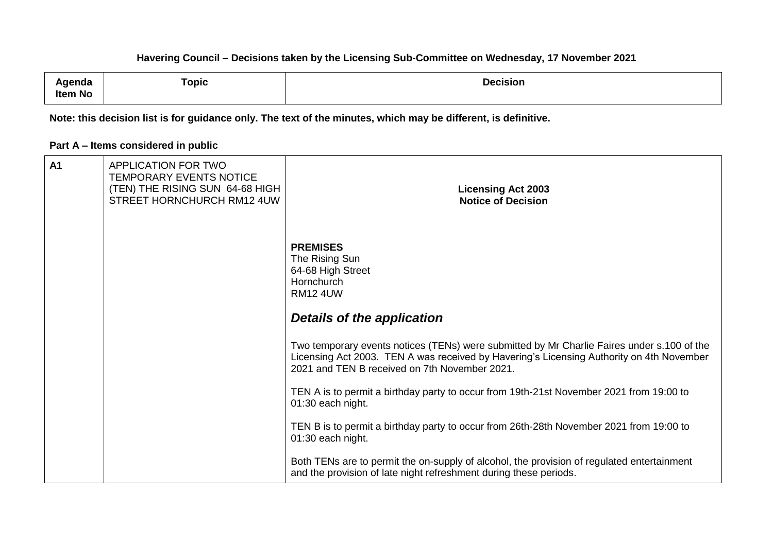| ∖ɑenda         | Topic | <b>Decision</b> |
|----------------|-------|-----------------|
| <b>Item No</b> |       |                 |

**Note: this decision list is for guidance only. The text of the minutes, which may be different, is definitive.**

### **Part A – Items considered in public**

| A1 | APPLICATION FOR TWO<br>TEMPORARY EVENTS NOTICE<br>(TEN) THE RISING SUN 64-68 HIGH<br>STREET HORNCHURCH RM12 4UW | <b>Licensing Act 2003</b><br><b>Notice of Decision</b>                                                                                                                                                                                  |
|----|-----------------------------------------------------------------------------------------------------------------|-----------------------------------------------------------------------------------------------------------------------------------------------------------------------------------------------------------------------------------------|
|    |                                                                                                                 | <b>PREMISES</b><br>The Rising Sun<br>64-68 High Street<br>Hornchurch<br><b>RM12 4UW</b>                                                                                                                                                 |
|    |                                                                                                                 | <b>Details of the application</b>                                                                                                                                                                                                       |
|    |                                                                                                                 | Two temporary events notices (TENs) were submitted by Mr Charlie Faires under s.100 of the<br>Licensing Act 2003. TEN A was received by Havering's Licensing Authority on 4th November<br>2021 and TEN B received on 7th November 2021. |
|    |                                                                                                                 | TEN A is to permit a birthday party to occur from 19th-21st November 2021 from 19:00 to<br>01:30 each night.                                                                                                                            |
|    |                                                                                                                 | TEN B is to permit a birthday party to occur from 26th-28th November 2021 from 19:00 to<br>01:30 each night.                                                                                                                            |
|    |                                                                                                                 | Both TENs are to permit the on-supply of alcohol, the provision of regulated entertainment<br>and the provision of late night refreshment during these periods.                                                                         |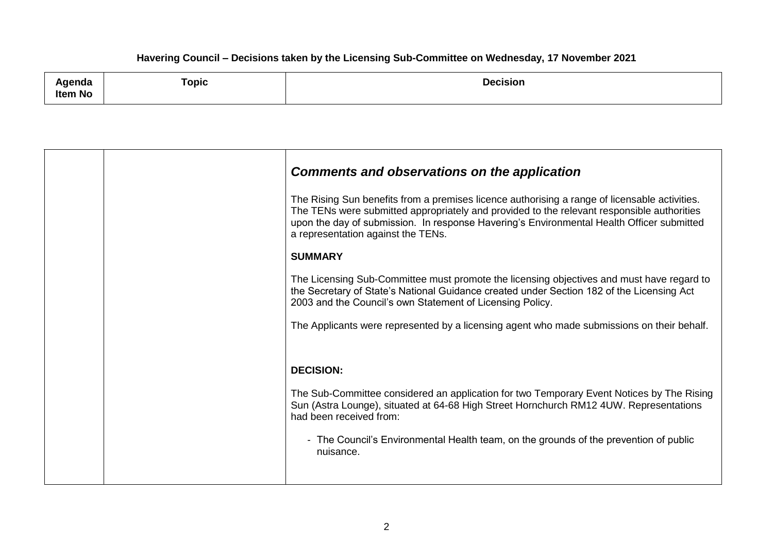| , ,,,,,,,,<br>nua<br><b>Item No</b> | Topic<br>and the state of the state of the state of the state of the state of the state of the state of the state of the | <b>Decision</b> |
|-------------------------------------|--------------------------------------------------------------------------------------------------------------------------|-----------------|
|-------------------------------------|--------------------------------------------------------------------------------------------------------------------------|-----------------|

|  | <b>Comments and observations on the application</b>                                                                                                                                                                                                                                                                            |
|--|--------------------------------------------------------------------------------------------------------------------------------------------------------------------------------------------------------------------------------------------------------------------------------------------------------------------------------|
|  | The Rising Sun benefits from a premises licence authorising a range of licensable activities.<br>The TENs were submitted appropriately and provided to the relevant responsible authorities<br>upon the day of submission. In response Havering's Environmental Health Officer submitted<br>a representation against the TENs. |
|  | <b>SUMMARY</b>                                                                                                                                                                                                                                                                                                                 |
|  | The Licensing Sub-Committee must promote the licensing objectives and must have regard to<br>the Secretary of State's National Guidance created under Section 182 of the Licensing Act<br>2003 and the Council's own Statement of Licensing Policy.                                                                            |
|  | The Applicants were represented by a licensing agent who made submissions on their behalf.                                                                                                                                                                                                                                     |
|  |                                                                                                                                                                                                                                                                                                                                |
|  | <b>DECISION:</b>                                                                                                                                                                                                                                                                                                               |
|  | The Sub-Committee considered an application for two Temporary Event Notices by The Rising<br>Sun (Astra Lounge), situated at 64-68 High Street Hornchurch RM12 4UW. Representations<br>had been received from:                                                                                                                 |
|  | - The Council's Environmental Health team, on the grounds of the prevention of public<br>nuisance.                                                                                                                                                                                                                             |
|  |                                                                                                                                                                                                                                                                                                                                |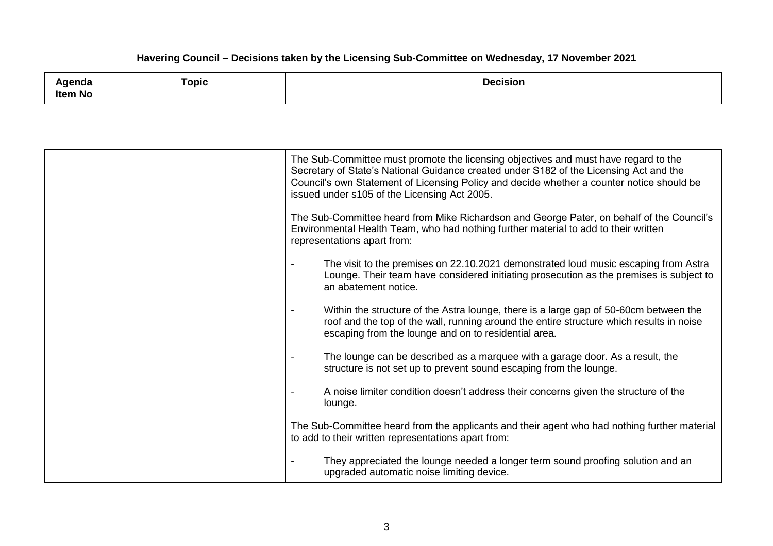|                | $\tau$ opic                                | Decision |
|----------------|--------------------------------------------|----------|
| genda          | and the state of the state of the state of |          |
| <b>Item No</b> |                                            |          |

|  | The Sub-Committee must promote the licensing objectives and must have regard to the<br>Secretary of State's National Guidance created under S182 of the Licensing Act and the<br>Council's own Statement of Licensing Policy and decide whether a counter notice should be<br>issued under s105 of the Licensing Act 2005. |
|--|----------------------------------------------------------------------------------------------------------------------------------------------------------------------------------------------------------------------------------------------------------------------------------------------------------------------------|
|  | The Sub-Committee heard from Mike Richardson and George Pater, on behalf of the Council's<br>Environmental Health Team, who had nothing further material to add to their written<br>representations apart from:                                                                                                            |
|  | The visit to the premises on 22.10.2021 demonstrated loud music escaping from Astra<br>Lounge. Their team have considered initiating prosecution as the premises is subject to<br>an abatement notice.                                                                                                                     |
|  | Within the structure of the Astra lounge, there is a large gap of 50-60cm between the<br>$\overline{\phantom{a}}$<br>roof and the top of the wall, running around the entire structure which results in noise<br>escaping from the lounge and on to residential area.                                                      |
|  | The lounge can be described as a marquee with a garage door. As a result, the<br>structure is not set up to prevent sound escaping from the lounge.                                                                                                                                                                        |
|  | A noise limiter condition doesn't address their concerns given the structure of the<br>lounge.                                                                                                                                                                                                                             |
|  | The Sub-Committee heard from the applicants and their agent who had nothing further material<br>to add to their written representations apart from:                                                                                                                                                                        |
|  | They appreciated the lounge needed a longer term sound proofing solution and an<br>upgraded automatic noise limiting device.                                                                                                                                                                                               |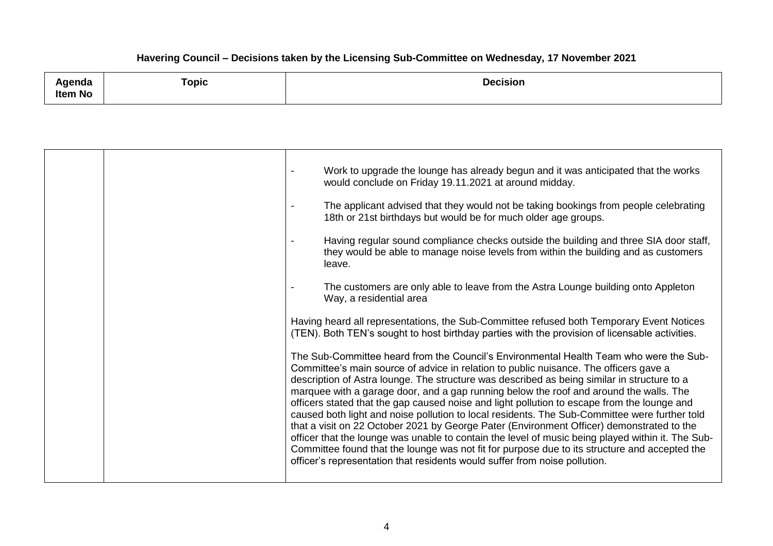| .<br>Agenda<br>-<br>Item No | <b>Topic</b> | <b>Decision</b> |
|-----------------------------|--------------|-----------------|
|                             |              |                 |

|  | Work to upgrade the lounge has already begun and it was anticipated that the works<br>would conclude on Friday 19.11.2021 at around midday.                                                                                                                                                                                                                                                                                                                                                                                                                                                                                                                                                                                                                                                                                                                                                                                                               |
|--|-----------------------------------------------------------------------------------------------------------------------------------------------------------------------------------------------------------------------------------------------------------------------------------------------------------------------------------------------------------------------------------------------------------------------------------------------------------------------------------------------------------------------------------------------------------------------------------------------------------------------------------------------------------------------------------------------------------------------------------------------------------------------------------------------------------------------------------------------------------------------------------------------------------------------------------------------------------|
|  | The applicant advised that they would not be taking bookings from people celebrating<br>18th or 21st birthdays but would be for much older age groups.                                                                                                                                                                                                                                                                                                                                                                                                                                                                                                                                                                                                                                                                                                                                                                                                    |
|  | Having regular sound compliance checks outside the building and three SIA door staff,<br>they would be able to manage noise levels from within the building and as customers<br>leave.                                                                                                                                                                                                                                                                                                                                                                                                                                                                                                                                                                                                                                                                                                                                                                    |
|  | The customers are only able to leave from the Astra Lounge building onto Appleton<br>Way, a residential area                                                                                                                                                                                                                                                                                                                                                                                                                                                                                                                                                                                                                                                                                                                                                                                                                                              |
|  | Having heard all representations, the Sub-Committee refused both Temporary Event Notices<br>(TEN). Both TEN's sought to host birthday parties with the provision of licensable activities.                                                                                                                                                                                                                                                                                                                                                                                                                                                                                                                                                                                                                                                                                                                                                                |
|  | The Sub-Committee heard from the Council's Environmental Health Team who were the Sub-<br>Committee's main source of advice in relation to public nuisance. The officers gave a<br>description of Astra lounge. The structure was described as being similar in structure to a<br>marquee with a garage door, and a gap running below the roof and around the walls. The<br>officers stated that the gap caused noise and light pollution to escape from the lounge and<br>caused both light and noise pollution to local residents. The Sub-Committee were further told<br>that a visit on 22 October 2021 by George Pater (Environment Officer) demonstrated to the<br>officer that the lounge was unable to contain the level of music being played within it. The Sub-<br>Committee found that the lounge was not fit for purpose due to its structure and accepted the<br>officer's representation that residents would suffer from noise pollution. |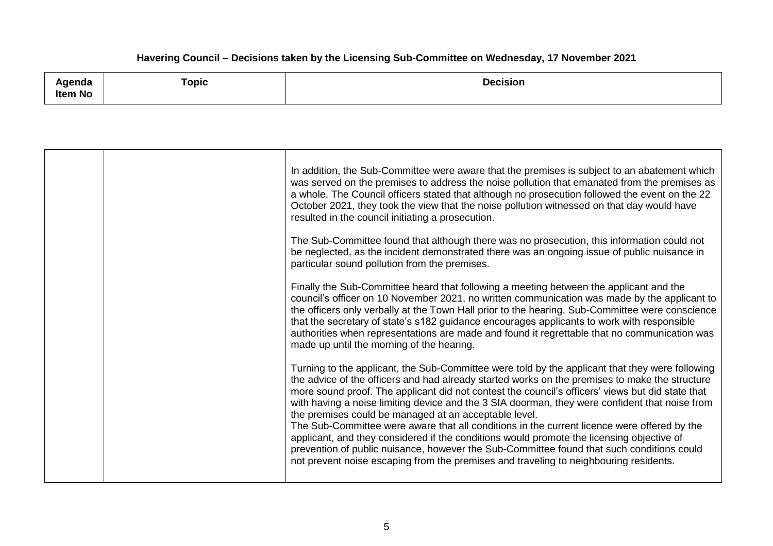| Agenda  |       | <b>Decision</b> |
|---------|-------|-----------------|
|         | Topic |                 |
| Item No |       |                 |

| In addition, the Sub-Committee were aware that the premises is subject to an abatement which<br>was served on the premises to address the noise pollution that emanated from the premises as<br>a whole. The Council officers stated that although no prosecution followed the event on the 22<br>October 2021, they took the view that the noise pollution witnessed on that day would have<br>resulted in the council initiating a prosecution.                                                                                                                                                                                                                                                                                                                                                                                                  |
|----------------------------------------------------------------------------------------------------------------------------------------------------------------------------------------------------------------------------------------------------------------------------------------------------------------------------------------------------------------------------------------------------------------------------------------------------------------------------------------------------------------------------------------------------------------------------------------------------------------------------------------------------------------------------------------------------------------------------------------------------------------------------------------------------------------------------------------------------|
| The Sub-Committee found that although there was no prosecution, this information could not<br>be neglected, as the incident demonstrated there was an ongoing issue of public nuisance in<br>particular sound pollution from the premises.                                                                                                                                                                                                                                                                                                                                                                                                                                                                                                                                                                                                         |
| Finally the Sub-Committee heard that following a meeting between the applicant and the<br>council's officer on 10 November 2021, no written communication was made by the applicant to<br>the officers only verbally at the Town Hall prior to the hearing. Sub-Committee were conscience<br>that the secretary of state's s182 guidance encourages applicants to work with responsible<br>authorities when representations are made and found it regrettable that no communication was<br>made up until the morning of the hearing.                                                                                                                                                                                                                                                                                                               |
| Turning to the applicant, the Sub-Committee were told by the applicant that they were following<br>the advice of the officers and had already started works on the premises to make the structure<br>more sound proof. The applicant did not contest the council's officers' views but did state that<br>with having a noise limiting device and the 3 SIA doorman, they were confident that noise from<br>the premises could be managed at an acceptable level.<br>The Sub-Committee were aware that all conditions in the current licence were offered by the<br>applicant, and they considered if the conditions would promote the licensing objective of<br>prevention of public nuisance, however the Sub-Committee found that such conditions could<br>not prevent noise escaping from the premises and traveling to neighbouring residents. |